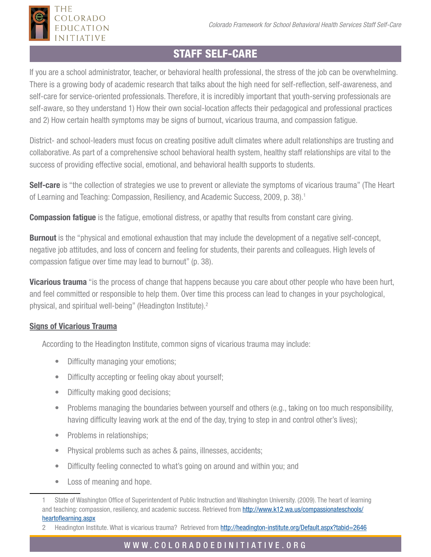

If you are a school administrator, teacher, or behavioral health professional, the stress of the job can be overwhelming. There is a growing body of academic research that talks about the high need for self-reflection, self-awareness, and self-care for service-oriented professionals. Therefore, it is incredibly important that youth-serving professionals are self-aware, so they understand 1) How their own social-location affects their pedagogical and professional practices and 2) How certain health symptoms may be signs of burnout, vicarious trauma, and compassion fatigue.

District- and school-leaders must focus on creating positive adult climates where adult relationships are trusting and collaborative. As part of a comprehensive school behavioral health system, healthy staff relationships are vital to the success of providing effective social, emotional, and behavioral health supports to students.

Self-care is "the collection of strategies we use to prevent or alleviate the symptoms of vicarious trauma" (The Heart of Learning and Teaching: Compassion, Resiliency, and Academic Success, 2009, p. 38).1

**Compassion fatigue** is the fatigue, emotional distress, or apathy that results from constant care giving.

**Burnout** is the "physical and emotional exhaustion that may include the development of a negative self-concept, negative job attitudes, and loss of concern and feeling for students, their parents and colleagues. High levels of compassion fatigue over time may lead to burnout" (p. 38).

**Vicarious trauma** "is the process of change that happens because you care about other people who have been hurt, and feel committed or responsible to help them. Over time this process can lead to changes in your psychological, physical, and spiritual well-being" (Headington Institute).<sup>2</sup>

## Signs of Vicarious Trauma

THE

OLORADO EDUCATION **INITIATIVE** 

According to the Headington Institute, common signs of vicarious trauma may include:

- Difficulty managing your emotions;
- Difficulty accepting or feeling okay about yourself;
- Difficulty making good decisions;
- Problems managing the boundaries between yourself and others (e.g., taking on too much responsibility, having difficulty leaving work at the end of the day, trying to step in and control other's lives);
- Problems in relationships;
- Physical problems such as aches & pains, illnesses, accidents;
- Difficulty feeling connected to what's going on around and within you; and
- Loss of meaning and hope.

## W W W . C O L O R A D O E D I N I T I A T I V E . O R G

<sup>1</sup> State of Washington Office of Superintendent of Public Instruction and Washington University. (2009). The heart of learning and teaching: compassion, resiliency, and academic success. Retrieved from [http://www.k12.wa.us/compassionateschools/](http://www.k12.wa.us/compassionateschools/heartoflearning.aspx) [heartoflearning.aspx](http://www.k12.wa.us/compassionateschools/heartoflearning.aspx)

<sup>2</sup> Headington Institute. What is vicarious trauma? Retrieved from [http://headington-institute.org/Default.aspx?tabid=2646](http://headington-institute.org/)